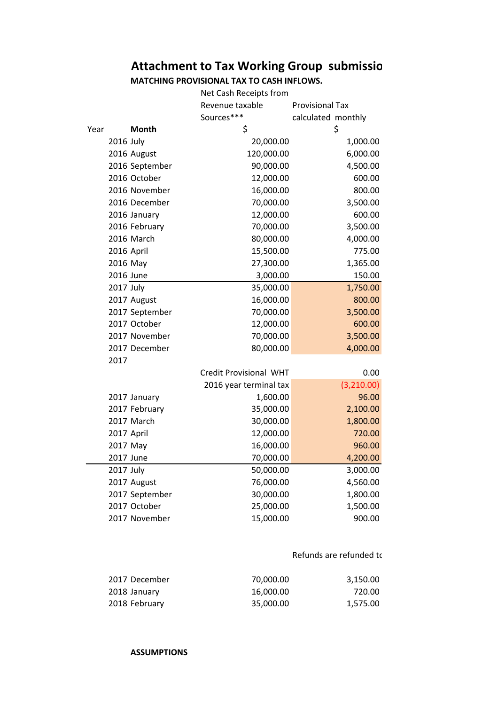## **Attachment to Tax Working Group submissio**

**MATCHING PROVISIONAL TAX TO CASH INFLOWS.**

|      |                | Net Cash Receipts from |                        |  |
|------|----------------|------------------------|------------------------|--|
|      |                | Revenue taxable        | <b>Provisional Tax</b> |  |
|      |                | Sources***             | calculated monthly     |  |
| Year | Month          | \$                     | \$                     |  |
|      | 2016 July      | 20,000.00              | 1,000.00               |  |
|      | 2016 August    | 120,000.00             | 6,000.00               |  |
|      | 2016 September | 90,000.00              | 4,500.00               |  |
|      | 2016 October   | 12,000.00              | 600.00                 |  |
|      | 2016 November  | 16,000.00              | 800.00                 |  |
|      | 2016 December  | 70,000.00              | 3,500.00               |  |
|      | 2016 January   | 12,000.00              | 600.00                 |  |
|      | 2016 February  | 70,000.00              | 3,500.00               |  |
|      | 2016 March     | 80,000.00              | 4,000.00               |  |
|      | 2016 April     | 15,500.00              | 775.00                 |  |
|      | 2016 May       | 27,300.00              | 1,365.00               |  |
|      | 2016 June      | 3,000.00               | 150.00                 |  |
|      | 2017 July      | 35,000.00              | 1,750.00               |  |
|      | 2017 August    | 16,000.00              | 800.00                 |  |
|      | 2017 September | 70,000.00              | 3,500.00               |  |
|      | 2017 October   | 12,000.00              | 600.00                 |  |
|      | 2017 November  | 70,000.00              | 3,500.00               |  |
|      | 2017 December  | 80,000.00              | 4,000.00               |  |
| 2017 |                |                        |                        |  |
|      |                | Credit Provisional WHT | 0.00                   |  |
|      |                | 2016 year terminal tax | (3,210.00)             |  |
|      | 2017 January   | 1,600.00               | 96.00                  |  |
|      | 2017 February  | 35,000.00              | 2,100.00               |  |
|      | 2017 March     | 30,000.00              | 1,800.00               |  |
|      | 2017 April     | 12,000.00              | 720.00                 |  |
|      | 2017 May       | 16,000.00              | 960.00                 |  |
|      | 2017 June      | 70,000.00              | 4,200.00               |  |
|      | 2017 July      | 50,000.00              | 3,000.00               |  |
|      | 2017 August    | 76,000.00              | 4,560.00               |  |
|      | 2017 September | 30,000.00              | 1,800.00               |  |
|      | 2017 October   | 25,000.00              | 1,500.00               |  |
|      | 2017 November  | 15,000.00              | 900.00                 |  |

## Refunds are refunded to

| 2017 December | 70.000.00 | 3.150.00 |
|---------------|-----------|----------|
| 2018 January  | 16.000.00 | 720.00   |
| 2018 February | 35.000.00 | 1,575.00 |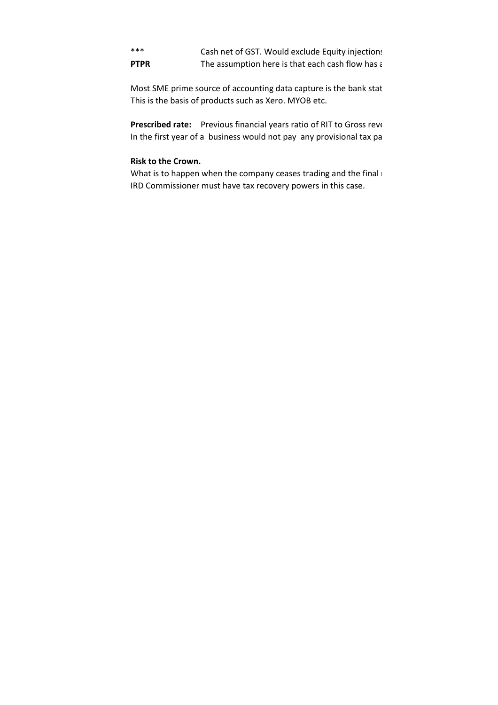\*\*\* Cash net of GST. Would exclude Equity injections **PTPR** The assumption here is that each cash flow has a taxable profit in the assumption here is that each cash flow has a

Most SME prime source of accounting data capture is the bank stat This is the basis of products such as Xero. MYOB etc.

**Prescribed rate:** Previous financial years ratio of RIT to Gross revenues In the first year of a business would not pay any provisional tax pa

## **Risk to the Crown.**

What is to happen when the company ceases trading and the final  $\vdash$ IRD Commissioner must have tax recovery powers in this case.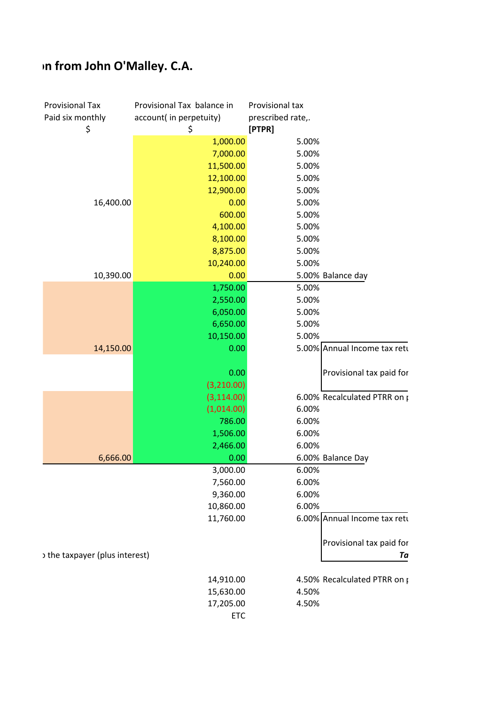## **An from John O'Malley. C.A.**

| <b>Provisional Tax</b><br>Paid six monthly | Provisional Tax balance in<br>account( in perpetuity) | Provisional tax<br>prescribed rate,.  |                          |
|--------------------------------------------|-------------------------------------------------------|---------------------------------------|--------------------------|
| \$                                         | \$                                                    | [PTPR]                                |                          |
|                                            | 1,000.00                                              | 5.00%                                 |                          |
|                                            | 7,000.00                                              | 5.00%                                 |                          |
|                                            | 11,500.00                                             | 5.00%                                 |                          |
|                                            | 12,100.00                                             | 5.00%                                 |                          |
|                                            | 12,900.00                                             | 5.00%                                 |                          |
| 16,400.00                                  | 0.00                                                  | 5.00%                                 |                          |
|                                            | 600.00                                                | 5.00%                                 |                          |
|                                            | 4,100.00                                              | 5.00%                                 |                          |
|                                            | 8,100.00                                              | 5.00%                                 |                          |
|                                            | 8,875.00                                              | 5.00%                                 |                          |
|                                            | 10,240.00                                             | 5.00%                                 |                          |
| 10,390.00                                  | 0.00                                                  | 5.00% Balance day                     |                          |
|                                            | 1,750.00                                              | 5.00%                                 |                          |
|                                            | 2,550.00                                              | 5.00%                                 |                          |
|                                            | 6,050.00                                              | 5.00%                                 |                          |
|                                            | 6,650.00                                              | 5.00%                                 |                          |
|                                            | 10,150.00                                             | 5.00%                                 |                          |
| 14,150.00                                  | 0.00                                                  | 5.00% Annual Income tax retu          |                          |
|                                            |                                                       |                                       |                          |
|                                            | 0.00                                                  |                                       | Provisional tax paid for |
|                                            | (3,210.00)                                            |                                       |                          |
|                                            | (3, 114.00)                                           | 6.00% Recalculated PTRR on p          |                          |
|                                            | (1,014.00)                                            | 6.00%                                 |                          |
|                                            | 786.00                                                | 6.00%                                 |                          |
|                                            | 1,506.00                                              | 6.00%                                 |                          |
|                                            | 2,466.00                                              | 6.00%                                 |                          |
| 6,666.00                                   | 0.00                                                  | 6.00% Balance Day                     |                          |
|                                            | 3,000.00                                              | 6.00%                                 |                          |
|                                            | 7,560.00                                              | 6.00%                                 |                          |
|                                            | 9,360.00                                              | 6.00%                                 |                          |
|                                            | 10,860.00                                             | 6.00%<br>6.00% Annual Income tax retu |                          |
|                                            | 11,760.00                                             |                                       |                          |
|                                            |                                                       |                                       | Provisional tax paid for |
| the taxpayer (plus interest)               |                                                       |                                       | Ta                       |
|                                            |                                                       |                                       |                          |
|                                            | 14,910.00                                             | 4.50% Recalculated PTRR on p          |                          |
|                                            | 15,630.00                                             | 4.50%                                 |                          |
|                                            | 17,205.00                                             | 4.50%                                 |                          |
|                                            | ETC                                                   |                                       |                          |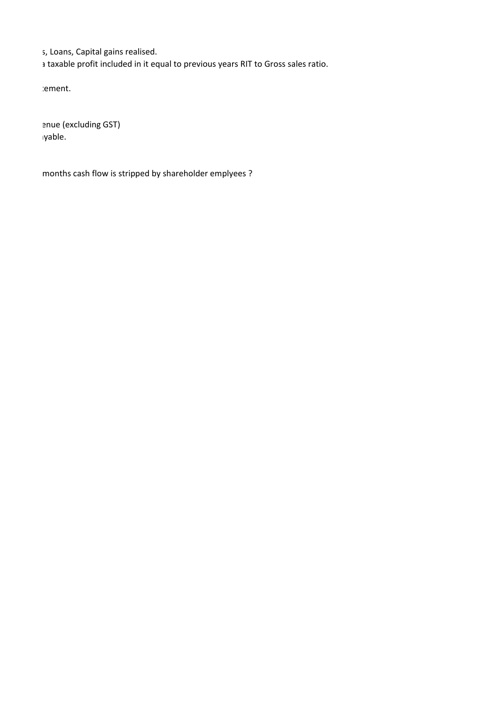s, Loans, Capital gains realised.

a taxable profit included in it equal to previous years RIT to Gross sales ratio.

Most continue the source of a continue to a continue of a continue of a continue is the bank statement.

enue (excluding GST) In the first yable.

months cash flow is stripped by shareholder emplyees ?